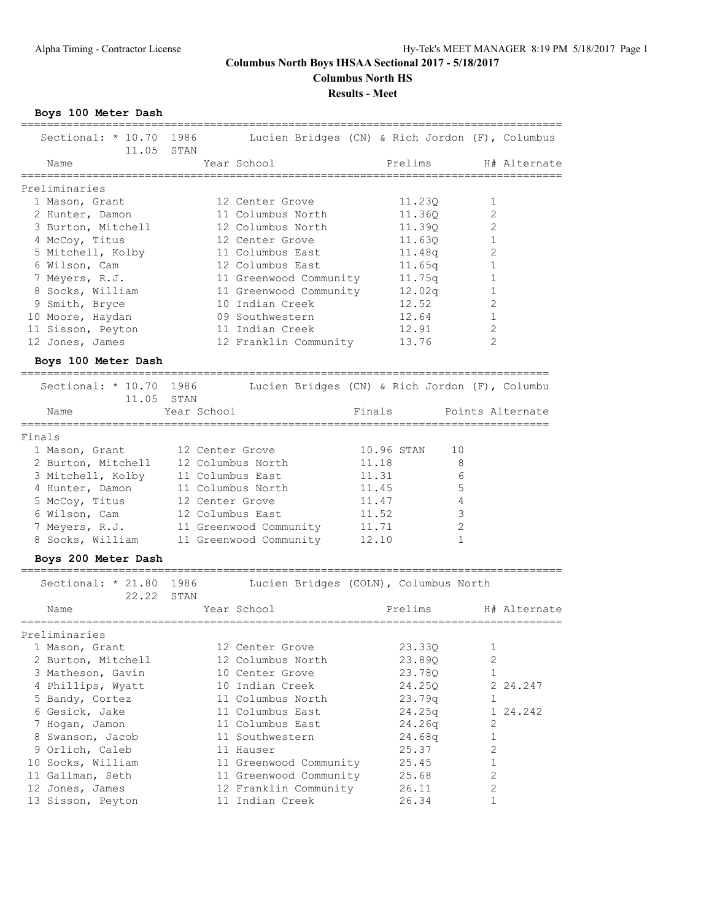**Columbus North HS**

**Results - Meet**

**Boys 100 Meter Dash**

| Sectional: * 10.70<br>11.05 STAN | 1986             | Lucien Bridges (CN) & Rich Jordon (F), Columbus |        |                  |              |                  |
|----------------------------------|------------------|-------------------------------------------------|--------|------------------|--------------|------------------|
| Name                             |                  | Year School                                     |        | Prelims          |              | H# Alternate     |
| Preliminaries                    |                  |                                                 |        |                  |              |                  |
| 1 Mason, Grant                   |                  | 12 Center Grove                                 |        | 11.230           | 1            |                  |
| 2 Hunter, Damon                  |                  | 11 Columbus North                               |        | 11.36Q           | 2            |                  |
| 3 Burton, Mitchell               |                  | 12 Columbus North                               |        | 11.39Q           | 2            |                  |
|                                  |                  | 12 Center Grove                                 |        |                  | 1            |                  |
| 4 McCoy, Titus                   |                  |                                                 |        | 11.63Q           |              |                  |
| 5 Mitchell, Kolby                |                  | 11 Columbus East                                |        | 11.48q           | 2            |                  |
| 6 Wilson, Cam                    |                  | 12 Columbus East                                |        | 11.65q           | 1            |                  |
| 7 Meyers, R.J.                   |                  | 11 Greenwood Community                          |        | 11.75q           | 1            |                  |
| 8 Socks, William                 |                  | 11 Greenwood Community                          |        | 12.02q           | 1            |                  |
| 9 Smith, Bryce                   |                  | 10 Indian Creek                                 |        | 12.52            | 2            |                  |
| 10 Moore, Haydan                 |                  | 09 Southwestern                                 |        | 12.64            | 1            |                  |
| 11 Sisson, Peyton                |                  | 11 Indian Creek                                 |        | 12.91            | 2            |                  |
| 12 Jones, James                  |                  | 12 Franklin Community                           |        | 13.76            | 2            |                  |
| Boys 100 Meter Dash              |                  |                                                 |        |                  |              |                  |
| Sectional: * 10.70 1986          |                  | Lucien Bridges (CN) & Rich Jordon (F), Columbu  |        |                  |              |                  |
| 11.05                            | STAN             |                                                 |        |                  |              |                  |
| Name                             | Year School      |                                                 | Finals |                  |              | Points Alternate |
|                                  |                  |                                                 |        |                  |              |                  |
| Finals                           |                  |                                                 |        |                  |              |                  |
| 1 Mason, Grant                   | 12 Center Grove  |                                                 |        | 10.96 STAN<br>10 |              |                  |
| 2 Burton, Mitchell               |                  | 12 Columbus North                               | 11.18  |                  | 8            |                  |
| 3 Mitchell, Kolby                | 11 Columbus East |                                                 | 11.31  |                  | 6            |                  |
| 4 Hunter, Damon                  |                  | 11 Columbus North                               | 11.45  |                  | 5            |                  |
|                                  | 12 Center Grove  |                                                 | 11.47  |                  | 4            |                  |
| 5 McCoy, Titus                   |                  |                                                 |        |                  |              |                  |
| 6 Wilson, Cam                    | 12 Columbus East |                                                 | 11.52  |                  | 3            |                  |
| 7 Meyers, R.J.                   |                  | 11 Greenwood Community                          | 11.71  |                  | 2            |                  |
| 8 Socks, William                 |                  | 11 Greenwood Community                          | 12.10  |                  | $\mathbf{1}$ |                  |
| Boys 200 Meter Dash              |                  |                                                 |        |                  |              |                  |
| Sectional: $* 21.80$             | 1986             | Lucien Bridges (COLN), Columbus North           |        |                  |              |                  |
| 22.22                            | STAN             |                                                 |        |                  |              |                  |
| Name                             |                  | Year School                                     |        | Prelims          |              | H# Alternate     |
|                                  |                  |                                                 |        |                  |              |                  |
| Preliminaries                    |                  |                                                 |        |                  |              |                  |
| 1 Mason, Grant                   |                  | 12 Center Grove                                 |        | 23.330           | 1            |                  |
| 2 Burton, Mitchell               |                  | 12 Columbus North                               |        | 23.89Q           | $\mathbf{2}$ |                  |
| 3 Matheson, Gavin                |                  | 10 Center Grove                                 |        | 23.78Q           | 1            |                  |
| 4 Phillips, Wyatt                |                  | 10 Indian Creek                                 |        | 24.25Q           |              | 2 24.247         |
| 5 Bandy, Cortez                  |                  | 11 Columbus North                               |        | 23.79q           | $\mathbf 1$  |                  |
| 6 Gesick, Jake                   |                  | 11 Columbus East                                |        | 24.25q           |              | 1 24.242         |
| 7 Hogan, Jamon                   |                  | 11 Columbus East                                |        | 24.26q           | 2            |                  |
| 8 Swanson, Jacob                 |                  | 11 Southwestern                                 |        | 24.68q           | $\mathbf 1$  |                  |
| 9 Orlich, Caleb                  |                  | 11 Hauser                                       |        | 25.37            | 2            |                  |
|                                  |                  |                                                 |        |                  |              |                  |
| 10 Socks, William                |                  | 11 Greenwood Community                          |        | 25.45            | $\mathbf{1}$ |                  |
| 11 Gallman, Seth                 |                  | 11 Greenwood Community                          |        | 25.68            | $\mathbf{2}$ |                  |
| 12 Jones, James                  |                  | 12 Franklin Community                           |        | 26.11            | 2            |                  |
| 13 Sisson, Peyton                |                  | 11 Indian Creek                                 |        | 26.34            | 1            |                  |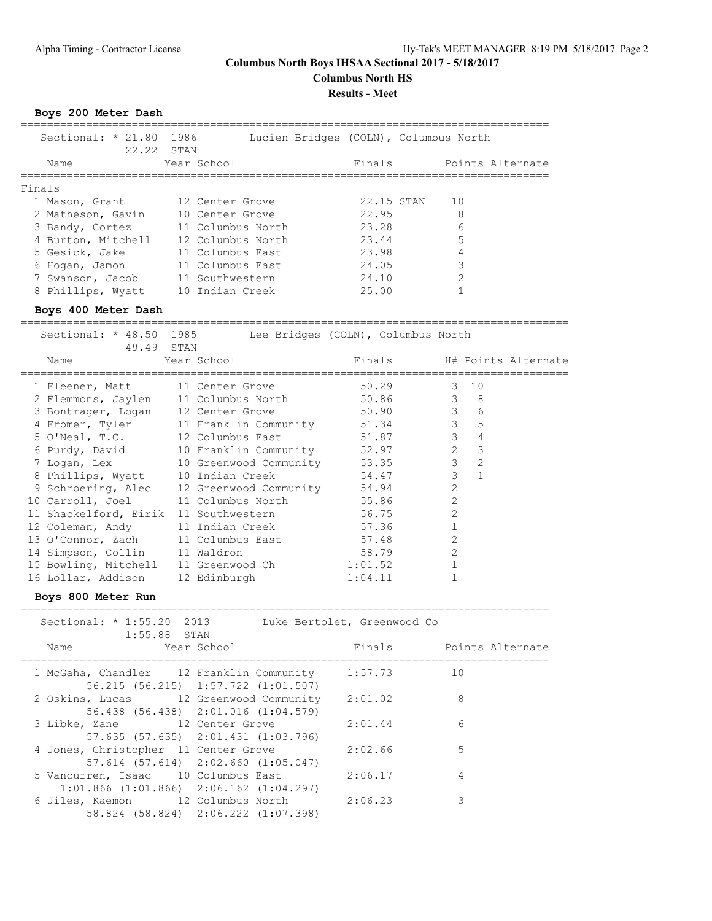**Columbus North HS**

### **Results - Meet**

**Boys 200 Meter Dash**

| Sectional: * 21.80 1986<br>22.22 STAN |             |                                    |       | Lucien Bridges (COLN), Columbus North |  |
|---------------------------------------|-------------|------------------------------------|-------|---------------------------------------|--|
| Name                                  | Year School |                                    |       | Finals Points Alternate               |  |
| Finals                                |             |                                    |       |                                       |  |
| 1 Mason, Grant 12 Center Grove        |             |                                    |       | 22.15 STAN 10                         |  |
| 2 Matheson, Gavin 10 Center Grove     |             |                                    | 22.95 | 8                                     |  |
| 3 Bandy, Cortez 11 Columbus North     |             |                                    | 23.28 | 6                                     |  |
| 4 Burton, Mitchell 12 Columbus North  |             |                                    | 23.44 | 5                                     |  |
| 5 Gesick, Jake 11 Columbus East       |             |                                    | 23.98 | 4                                     |  |
| 6 Hogan, Jamon 11 Columbus East       |             |                                    | 24.05 | 3                                     |  |
| 7 Swanson, Jacob 11 Southwestern      |             |                                    | 24.10 | $\mathfrak{D}$                        |  |
| 8 Phillips, Wyatt 10 Indian Creek     |             |                                    | 25.00 |                                       |  |
| Boys 400 Meter Dash                   |             |                                    |       |                                       |  |
| Sectional: * 48.50 1985<br>49.49 STAN |             | Lee Bridges (COLN), Columbus North |       |                                       |  |
| Name                                  | Year School |                                    |       | Finals Finals H# Points Alternate     |  |
|                                       |             |                                    |       |                                       |  |

| 1 Fleener, Matt                       | 11 Center Grove                            | 50.29   | $\mathcal{E}$  | 10             |  |
|---------------------------------------|--------------------------------------------|---------|----------------|----------------|--|
|                                       |                                            |         |                |                |  |
| 2 Flemmons, Jaylen                    | 11 Columbus North                          | 50.86   | $\mathcal{S}$  | - 8            |  |
| 3 Bontrager, Logan                    | 12 Center Grove                            | 50.90   | 3 <sup>7</sup> | 6              |  |
| 4 Fromer, Tyler                       | 11 Franklin Community 51.34                |         | $\mathcal{E}$  | 5              |  |
| 5 O'Neal, T.C.                        | 12 Columbus East                           | 51.87   | $\mathcal{E}$  | 4              |  |
|                                       | 6 Purdy, David 10 Franklin Community 52.97 |         | $\overline{2}$ | 3              |  |
|                                       | 7 Logan, Lex 10 Greenwood Community        | 53.35   | 3              | $\overline{2}$ |  |
|                                       | 8 Phillips, Wyatt 10 Indian Creek          | 54.47   | 3 <sup>7</sup> | $\mathbf{1}$   |  |
|                                       | 9 Schroering, Alec 12 Greenwood Community  | 54.94   | $\overline{2}$ |                |  |
| 10 Carroll, Joel 11 Columbus North    |                                            | 55.86   | $\overline{2}$ |                |  |
| 11 Shackelford, Eirik 11 Southwestern |                                            | 56.75   | $\overline{2}$ |                |  |
| 12 Coleman, Andy 11 Indian Creek      |                                            | 57.36   |                |                |  |
| 13 O'Connor, Zach 11 Columbus East    |                                            | 57.48   | $\mathfrak{L}$ |                |  |
| 14 Simpson, Collin 11 Waldron         |                                            | 58.79   | $\overline{2}$ |                |  |
| 15 Bowling, Mitchell 11 Greenwood Ch  |                                            | 1:01.52 |                |                |  |
| 16 Lollar, Addison                    | 12 Edinburgh                               | 1:04.11 |                |                |  |

**Boys 800 Meter Run**

| Sectional: * 1:55.20 2013<br>$1:55.88$ STAN                                            |                                     | Luke Bertolet, Greenwood Co |                         |
|----------------------------------------------------------------------------------------|-------------------------------------|-----------------------------|-------------------------|
| Name Year School                                                                       |                                     |                             | Finals Points Alternate |
| 1 McGaha, Chandler 12 Franklin Community 1:57.73                                       | 56.215 (56.215) 1:57.722 (1:01.507) | 10                          |                         |
| 2 Oskins, Lucas 12 Greenwood Community 2:01.02                                         | 56.438 (56.438) 2:01.016 (1:04.579) |                             | 8                       |
| 3 Libke, Zane 12 Center Grove                                                          | 57.635 (57.635) 2:01.431 (1:03.796) | 2:01.44                     | 6                       |
| 4 Jones, Christopher 11 Center Grove                                                   | 57.614 (57.614) 2:02.660 (1:05.047) | 2:02.66                     | 5                       |
| 5 Vancurren, Isaac 10 Columbus East<br>$1:01.866$ $(1:01.866)$ $2:06.162$ $(1:04.297)$ |                                     | 2:06.17                     | $\overline{4}$          |
| 6 Jiles, Kaemon 12 Columbus North 2:06.23                                              | 58.824 (58.824) 2:06.222 (1:07.398) |                             | 3                       |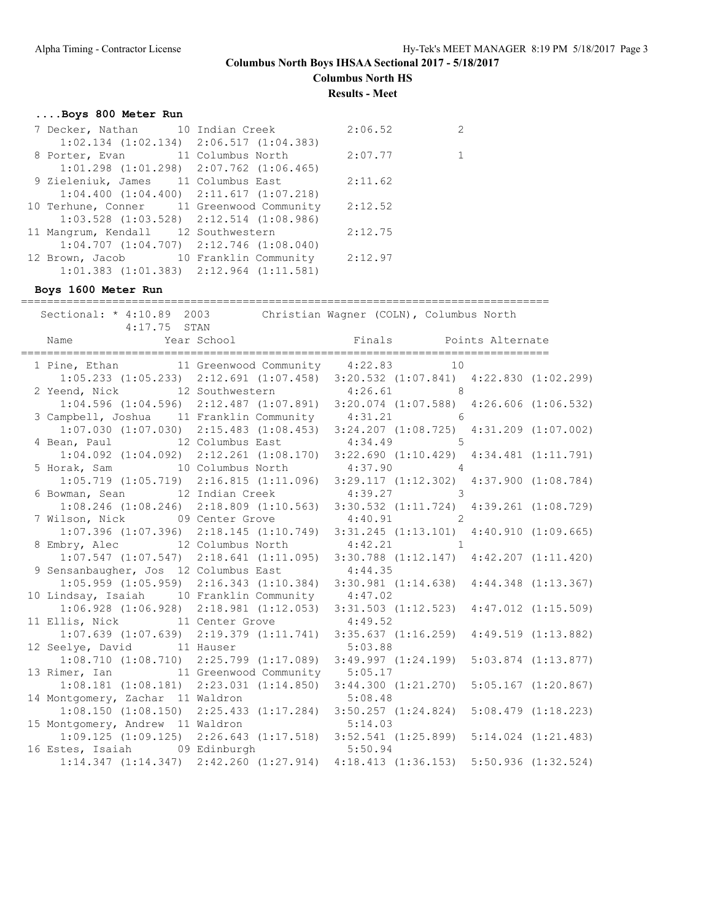**Columbus North HS**

**Results - Meet**

## **....Boys 800 Meter Run**

|  | 2:06.52                                                                                                                                                                                                                                                                                                                                                                                                                                                                       | $\overline{2}$                                                                       |
|--|-------------------------------------------------------------------------------------------------------------------------------------------------------------------------------------------------------------------------------------------------------------------------------------------------------------------------------------------------------------------------------------------------------------------------------------------------------------------------------|--------------------------------------------------------------------------------------|
|  |                                                                                                                                                                                                                                                                                                                                                                                                                                                                               |                                                                                      |
|  | 2:07.77                                                                                                                                                                                                                                                                                                                                                                                                                                                                       | $\mathbf{1}$                                                                         |
|  |                                                                                                                                                                                                                                                                                                                                                                                                                                                                               |                                                                                      |
|  | 2:11.62                                                                                                                                                                                                                                                                                                                                                                                                                                                                       |                                                                                      |
|  |                                                                                                                                                                                                                                                                                                                                                                                                                                                                               |                                                                                      |
|  |                                                                                                                                                                                                                                                                                                                                                                                                                                                                               |                                                                                      |
|  |                                                                                                                                                                                                                                                                                                                                                                                                                                                                               |                                                                                      |
|  | 2:12.75                                                                                                                                                                                                                                                                                                                                                                                                                                                                       |                                                                                      |
|  |                                                                                                                                                                                                                                                                                                                                                                                                                                                                               |                                                                                      |
|  | 2:12.97                                                                                                                                                                                                                                                                                                                                                                                                                                                                       |                                                                                      |
|  |                                                                                                                                                                                                                                                                                                                                                                                                                                                                               |                                                                                      |
|  | 7 Decker, Nathan 10 Indian Creek<br>$1:02.134$ $(1:02.134)$ $2:06.517$ $(1:04.383)$<br>$1:01.298$ $(1:01.298)$ $2:07.762$ $(1:06.465)$<br>9 Zieleniuk, James 11 Columbus East<br>$1:04.400$ $(1:04.400)$ $2:11.617$ $(1:07.218)$<br>10 Terhune, Conner 11 Greenwood Community<br>$1:03.528$ $(1:03.528)$ $2:12.514$ $(1:08.986)$<br>11 Mangrum, Kendall 12 Southwestern<br>$1:04.707$ $(1:04.707)$ $2:12.746$ $(1:08.040)$<br>$1:01.383$ $(1:01.383)$ $2:12.964$ $(1:11.581)$ | 8 Porter, Evan 11 Columbus North<br>2:12.52<br>12 Brown, Jacob 10 Franklin Community |

### **Boys 1600 Meter Run**

| Sectional: * 4:10.89 2003 Christian Wagner (COLN), Columbus North                                                           |                                                                                                 |  |
|-----------------------------------------------------------------------------------------------------------------------------|-------------------------------------------------------------------------------------------------|--|
| 4:17.75 STAN                                                                                                                |                                                                                                 |  |
|                                                                                                                             |                                                                                                 |  |
|                                                                                                                             |                                                                                                 |  |
| 1 Pine, Ethan 11 Greenwood Community 4:22.83 10                                                                             |                                                                                                 |  |
|                                                                                                                             | 1:05.233 (1:05.233) 2:12.691 (1:07.458) 3:20.532 (1:07.841) 4:22.830 (1:02.299)                 |  |
| 2 Yeend, Nick 12 Southwestern 4:26.61 8                                                                                     |                                                                                                 |  |
|                                                                                                                             | 1:04.596 (1:04.596) 2:12.487 (1:07.891) 3:20.074 (1:07.588) 4:26.606 (1:06.532)                 |  |
| 3 Campbell, Joshua 11 Franklin Community 4:31.21 6                                                                          |                                                                                                 |  |
|                                                                                                                             | 1:07.030 (1:07.030) 2:15.483 (1:08.453) 3:24.207 (1:08.725) 4:31.209 (1:07.002)                 |  |
| 4 Bean, Paul 12 Columbus East 4:34.49 5                                                                                     |                                                                                                 |  |
|                                                                                                                             | $1:04.092$ $(1:04.092)$ $2:12.261$ $(1:08.170)$ $3:22.690$ $(1:10.429)$ $4:34.481$ $(1:11.791)$ |  |
| 5 Horak, Sam 10 Columbus North                                                                                              | $4:37.90$ 4                                                                                     |  |
|                                                                                                                             | 1:05.719 (1:05.719) 2:16.815 (1:11.096) 3:29.117 (1:12.302) 4:37.900 (1:08.784)                 |  |
| 6 Bowman, Sean 12 Indian Creek                                                                                              | $4:39.27$ 3                                                                                     |  |
|                                                                                                                             | 1:08.246 (1:08.246) 2:18.809 (1:10.563) 3:30.532 (1:11.724) 4:39.261 (1:08.729)                 |  |
| 7 Wilson, Nick 09 Center Grove                                                                                              | $4:40.91$ 2                                                                                     |  |
|                                                                                                                             | 1:07.396 (1:07.396) 2:18.145 (1:10.749) 3:31.245 (1:13.101) 4:40.910 (1:09.665)                 |  |
| 8 Embry, Alec 12 Columbus North                                                                                             | $4:42.21$ 1                                                                                     |  |
|                                                                                                                             | $1:07.547$ $(1:07.547)$ $2:18.641$ $(1:11.095)$ $3:30.788$ $(1:12.147)$ $4:42.207$ $(1:11.420)$ |  |
| 9 Sensanbaugher, Jos 12 Columbus East                                                                                       | 4:44.35                                                                                         |  |
|                                                                                                                             | 1:05.959 (1:05.959) 2:16.343 (1:10.384) 3:30.981 (1:14.638) 4:44.348 (1:13.367)                 |  |
| 10 Lindsay, Isaiah 10 Franklin Community 4:47.02                                                                            |                                                                                                 |  |
|                                                                                                                             | 1:06.928 (1:06.928) 2:18.981 (1:12.053) 3:31.503 (1:12.523) 4:47.012 (1:15.509)                 |  |
| 11 Ellis, Nick 11 Center Grove 4:49.52                                                                                      |                                                                                                 |  |
|                                                                                                                             | 1:07.639 (1:07.639) 2:19.379 (1:11.741) 3:35.637 (1:16.259) 4:49.519 (1:13.882)                 |  |
| 12 Seelye, David 11 Hauser                                                                                                  | 5:03.88                                                                                         |  |
|                                                                                                                             | 1:08.710 (1:08.710) 2:25.799 (1:17.089) 3:49.997 (1:24.199) 5:03.874 (1:13.877)                 |  |
| 13 Rimer, Ian 11 Greenwood Community 5:05.17                                                                                |                                                                                                 |  |
|                                                                                                                             | $1:08.181$ $(1:08.181)$ $2:23.031$ $(1:14.850)$ $3:44.300$ $(1:21.270)$ $5:05.167$ $(1:20.867)$ |  |
| 14 Montgomery, Zachar 11 Waldron 5:08.48                                                                                    |                                                                                                 |  |
|                                                                                                                             | $1:08.150$ (1:08.150) $2:25.433$ (1:17.284) $3:50.257$ (1:24.824) $5:08.479$ (1:18.223)         |  |
|                                                                                                                             |                                                                                                 |  |
| 15 Montgomery, Andrew 11 Waldron 5:14.03<br>1:09.125 (1:09.125) 2:26.643 (1:17.518) 3:52.541 (1:25.899) 5:14.024 (1:21.483) |                                                                                                 |  |
| 16 Estes, Isaiah 09 Edinburgh 5:50.94                                                                                       |                                                                                                 |  |
|                                                                                                                             | 1:14.347 (1:14.347) 2:42.260 (1:27.914) 4:18.413 (1:36.153) 5:50.936 (1:32.524)                 |  |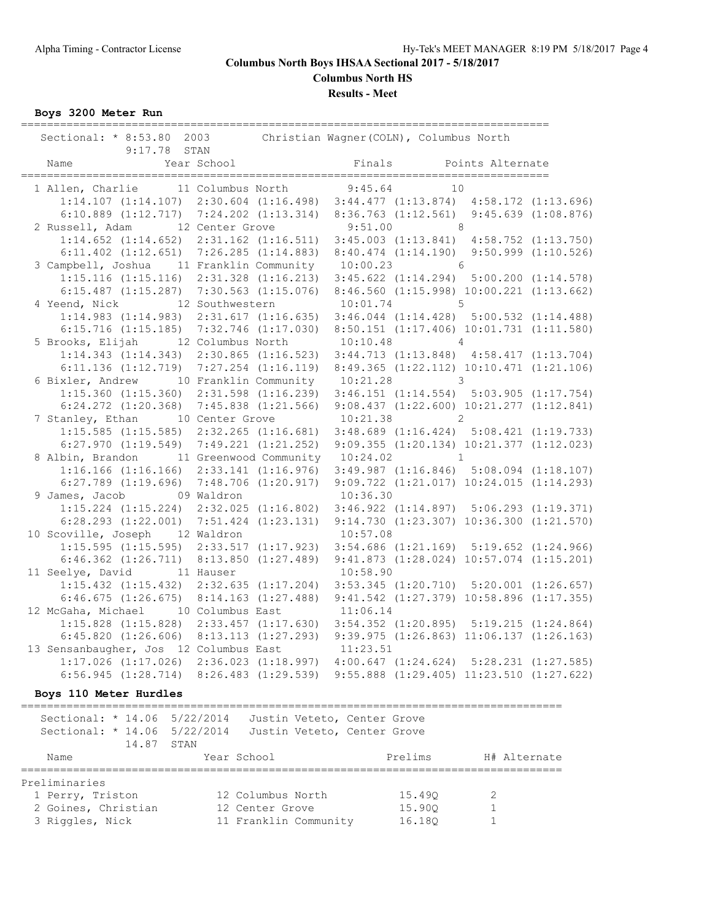**Columbus North HS**

**Results - Meet**

**Boys 3200 Meter Run**

| Sectional: * 8:53.80 2003<br>9:17.78 STAN           |          | Christian Wagner (COLN), Columbus North                                                                                          |  |
|-----------------------------------------------------|----------|----------------------------------------------------------------------------------------------------------------------------------|--|
| Year School<br>Name                                 |          | Finals Points Alternate                                                                                                          |  |
|                                                     |          | 1 Allen, Charlie 11 Columbus North 9:45.64 10<br>1:14.107 (1:14.107) 2:30.604 (1:16.498) 3:44.477 (1:13.874) 4:58.172 (1:13.696) |  |
|                                                     |          |                                                                                                                                  |  |
|                                                     |          | 6:10.889 (1:12.717) 7:24.202 (1:13.314) 8:36.763 (1:12.561) 9:45.639 (1:08.876)                                                  |  |
| 2 Russell, Adam 12 Center Grove                     |          | $9:51.00$ 8                                                                                                                      |  |
| $1:14.652$ $(1:14.652)$ $2:31.162$ $(1:16.511)$     |          | $3:45.003$ $(1:13.841)$ $4:58.752$ $(1:13.750)$                                                                                  |  |
| $6:11.402$ $(1:12.651)$ $7:26.285$ $(1:14.883)$     |          | $8:40.474$ $(1:14.190)$ $9:50.999$ $(1:10.526)$                                                                                  |  |
| 3 Campbell, Joshua 11 Franklin Community 10:00.23 6 |          |                                                                                                                                  |  |
| $1:15.116$ $(1:15.116)$ $2:31.328$ $(1:16.213)$     |          | $3:45.622$ $(1:14.294)$ $5:00.200$ $(1:14.578)$                                                                                  |  |
| $6:15.487$ $(1:15.287)$ $7:30.563$ $(1:15.076)$     |          | 8:46.560 (1:15.998) 10:00.221 (1:13.662)                                                                                         |  |
| 4 Yeend, Nick 12 Southwestern                       |          | $10:01.74$ 5                                                                                                                     |  |
| $1:14.983$ $(1:14.983)$ $2:31.617$ $(1:16.635)$     |          | $3:46.044$ $(1:14.428)$ $5:00.532$ $(1:14.488)$                                                                                  |  |
|                                                     |          | 6:15.716 (1:15.185) 7:32.746 (1:17.030) 8:50.151 (1:17.406) 10:01.731 (1:11.580)                                                 |  |
| 5 Brooks, Elijah 12 Columbus North                  |          | $10:10.48$ 4                                                                                                                     |  |
| $1:14.343$ $(1:14.343)$ $2:30.865$ $(1:16.523)$     |          | $3:44.713$ $(1:13.848)$ $4:58.417$ $(1:13.704)$                                                                                  |  |
| $6:11.136$ $(1:12.719)$ $7:27.254$ $(1:16.119)$     |          | 8:49.365 (1:22.112) 10:10.471 (1:21.106)                                                                                         |  |
| 6 Bixler, Andrew 10 Franklin Community 10:21.28 3   |          |                                                                                                                                  |  |
| $1:15.360$ $(1:15.360)$ $2:31.598$ $(1:16.239)$     |          | $3:46.151$ $(1:14.554)$ $5:03.905$ $(1:17.754)$                                                                                  |  |
| $6:24.272$ $(1:20.368)$ $7:45.838$ $(1:21.566)$     |          | $9:08.437$ $(1:22.600)$ $10:21.277$ $(1:12.841)$                                                                                 |  |
| 7 Stanley, Ethan 10 Center Grove                    |          | $10:21.38$ 2                                                                                                                     |  |
| $1:15.585$ $(1:15.585)$ $2:32.265$ $(1:16.681)$     |          | $3:48.689$ $(1:16.424)$ $5:08.421$ $(1:19.733)$                                                                                  |  |
| $6:27.970$ $(1:19.549)$ $7:49.221$ $(1:21.252)$     |          | 9:09.355 (1:20.134) 10:21.377 (1:12.023)                                                                                         |  |
| 8 Albin, Brandon 11 Greenwood Community 10:24.02 1  |          |                                                                                                                                  |  |
|                                                     |          | 1:16.166 (1:16.166) 2:33.141 (1:16.976) 3:49.987 (1:16.846) 5:08.094 (1:18.107)                                                  |  |
| $6:27.789$ $(1:19.696)$ $7:48.706$ $(1:20.917)$     |          | $9:09.722$ $(1:21.017)$ $10:24.015$ $(1:14.293)$                                                                                 |  |
| 9 James, Jacob 09 Waldron                           |          | 10:36.30                                                                                                                         |  |
|                                                     |          | 1:15.224 (1:15.224) 2:32.025 (1:16.802) 3:46.922 (1:14.897) 5:06.293 (1:19.371)                                                  |  |
|                                                     |          | $6:28.293$ $(1:22.001)$ $7:51.424$ $(1:23.131)$ $9:14.730$ $(1:23.307)$ $10:36.300$ $(1:21.570)$                                 |  |
| 10 Scoville, Joseph 12 Waldron                      |          | 10:57.08                                                                                                                         |  |
|                                                     |          | 1:15.595 (1:15.595) 2:33.517 (1:17.923) 3:54.686 (1:21.169) 5:19.652 (1:24.966)                                                  |  |
|                                                     |          | 6:46.362 (1:26.711) 8:13.850 (1:27.489) 9:41.873 (1:28.024) 10:57.074 (1:15.201)                                                 |  |
| 11 Seelye, David 11 Hauser                          | 10:58.90 |                                                                                                                                  |  |
|                                                     |          | 1:15.432 (1:15.432) 2:32.635 (1:17.204) 3:53.345 (1:20.710) 5:20.001 (1:26.657)                                                  |  |
|                                                     |          | 6:46.675 (1:26.675) 8:14.163 (1:27.488) 9:41.542 (1:27.379) 10:58.896 (1:17.355)                                                 |  |
| 12 McGaha, Michael 10 Columbus East                 |          | 11:06.14                                                                                                                         |  |
|                                                     |          | 1:15.828 (1:15.828) 2:33.457 (1:17.630) 3:54.352 (1:20.895) 5:19.215 (1:24.864)                                                  |  |
|                                                     |          | 6:45.820 (1:26.606) 8:13.113 (1:27.293) 9:39.975 (1:26.863) 11:06.137 (1:26.163)                                                 |  |
| 13 Sensanbaugher, Jos 12 Columbus East              |          | 11:23.51                                                                                                                         |  |
|                                                     |          | 1:17.026 (1:17.026) 2:36.023 (1:18.997) 4:00.647 (1:24.624) 5:28.231 (1:27.585)                                                  |  |
|                                                     |          | 6:56.945 (1:28.714) 8:26.483 (1:29.539) 9:55.888 (1:29.405) 11:23.510 (1:27.622)                                                 |  |

**Boys 110 Meter Hurdles**

===================================================================================

| Sectional: * 14.06 5/22/2014<br>Sectional: * 14.06 5/22/2014 |                       | Justin Veteto, Center Grove<br>Justin Veteto, Center Grove |              |
|--------------------------------------------------------------|-----------------------|------------------------------------------------------------|--------------|
| 14.87<br>Name                                                | STAN<br>Year School   | Prelims                                                    | H# Alternate |
| Preliminaries                                                |                       |                                                            |              |
| 1 Perry, Triston                                             | 12 Columbus North     | 15.490                                                     | 2            |
| 2 Goines, Christian                                          | 12 Center Grove       | 15.900                                                     |              |
| 3 Riggles, Nick                                              | 11 Franklin Community | 16.180                                                     |              |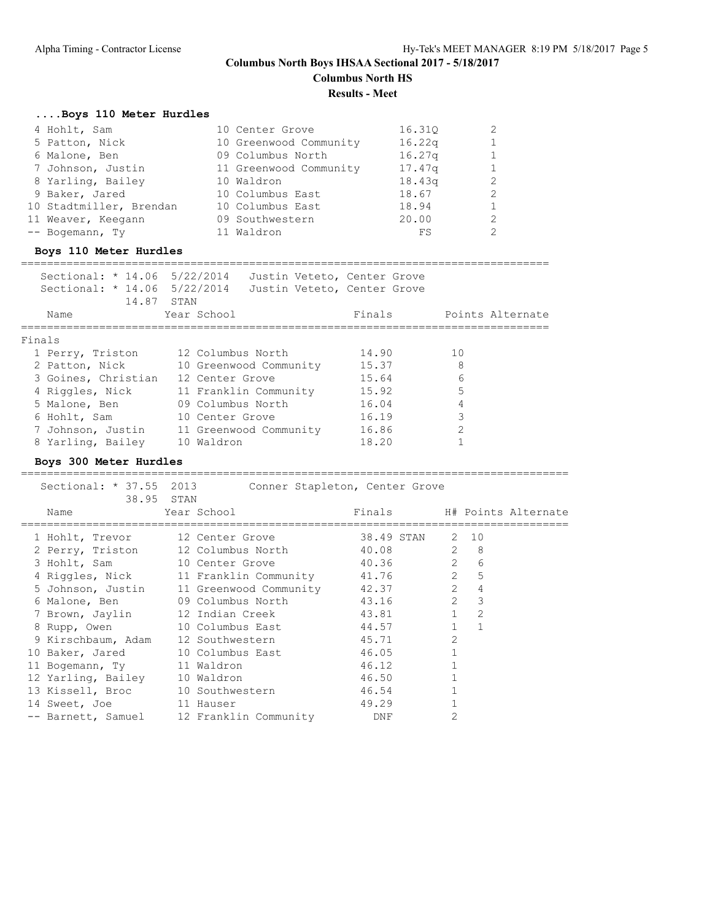**Columbus North HS**

**Results - Meet**

### **....Boys 110 Meter Hurdles**

| 4 Hohlt, Sam            | 10 Center Grove        | 16.310 |   |
|-------------------------|------------------------|--------|---|
| 5 Patton, Nick          | 10 Greenwood Community | 16.22q |   |
| 6 Malone, Ben           | 09 Columbus North      | 16.27q |   |
| 7 Johnson, Justin       | 11 Greenwood Community | 17.47q |   |
| 8 Yarling, Bailey       | 10 Waldron             | 18.43q | 2 |
| 9 Baker, Jared          | 10 Columbus East       | 18.67  | 2 |
| 10 Stadtmiller, Brendan | 10 Columbus East       | 18.94  |   |
| 11 Weaver, Keegann      | 09 Southwestern        | 20.00  | 2 |
| -- Bogemann, Ty         | 11 Waldron             | FS     |   |

### **Boys 110 Meter Hurdles**

### =================================================================================

 Sectional: \* 14.06 5/22/2014 Justin Veteto, Center Grove Sectional: \* 14.06 5/22/2014 Justin Veteto, Center Grove

| Name | Year School                                                                                                                                                       | Finals     | Points Alternate                                                          |
|------|-------------------------------------------------------------------------------------------------------------------------------------------------------------------|------------|---------------------------------------------------------------------------|
|      |                                                                                                                                                                   |            |                                                                           |
|      |                                                                                                                                                                   |            |                                                                           |
|      | 12 Columbus North                                                                                                                                                 | 14.90      | 1 O                                                                       |
|      |                                                                                                                                                                   | 15.37      | 8                                                                         |
|      | 12 Center Grove                                                                                                                                                   | 15.64      | 6                                                                         |
|      |                                                                                                                                                                   | 15.92      | 5                                                                         |
|      | 09 Columbus North                                                                                                                                                 | 16.04      | 4                                                                         |
|      | 10 Center Grove                                                                                                                                                   | 16.19      | 3                                                                         |
|      |                                                                                                                                                                   | 16.86      | 2                                                                         |
|      | 10 Waldron                                                                                                                                                        | 18.20      |                                                                           |
|      | Finals<br>1 Perry, Triston<br>2 Patton, Nick<br>3 Goines, Christian<br>4 Riggles, Nick<br>5 Malone, Ben<br>6 Hohlt, Sam<br>7 Johnson, Justin<br>8 Yarling, Bailey | 14.87 STAN | 10 Greenwood Community<br>11 Franklin Community<br>11 Greenwood Community |

### **Boys 300 Meter Hurdles**

| Sectional: * 37.55 2013          | 38.95 STAN                                     | Conner Stapleton, Center Grove |                |  |
|----------------------------------|------------------------------------------------|--------------------------------|----------------|--|
| Name                             | Year School                                    | Finals H# Points Alternate     |                |  |
| 1 Hohlt, Trevor 12 Center Grove  |                                                | 38.49 STAN                     | 2 10           |  |
|                                  | 2 Perry, Triston 12 Columbus North             | $2 \t 8$<br>40.08              |                |  |
| 3 Hohlt, Sam 10 Center Grove     |                                                | 40.36 2                        | 6              |  |
|                                  | 4 Riggles, Nick 11 Franklin Community 41.76 2  |                                | 5              |  |
|                                  | 5 Johnson, Justin 11 Greenwood Community 42.37 |                                | 2<br>4         |  |
|                                  | 6 Malone, Ben 09 Columbus North                | 43.16 2                        | $\mathcal{E}$  |  |
|                                  | 7 Brown, Jaylin 12 Indian Creek                | 43.81 1 2                      |                |  |
|                                  | 8 Rupp, Owen 10 Columbus East                  | 44.57 1                        | $\overline{1}$ |  |
|                                  | 9 Kirschbaum, Adam 12 Southwestern             | 45.71                          | $\overline{2}$ |  |
|                                  | 10 Baker, Jared 10 Columbus East               | 46.05                          |                |  |
| 11 Bogemann, Ty 11 Waldron       |                                                | 46.12                          |                |  |
| 12 Yarling, Bailey 10 Waldron    |                                                | 46.50                          |                |  |
| 13 Kissell, Broc 10 Southwestern |                                                | 46.54                          |                |  |
| 14 Sweet, Joe 11 Hauser          |                                                | 49.29                          |                |  |
|                                  | -- Barnett, Samuel 12 Franklin Community DNF   |                                | $\overline{2}$ |  |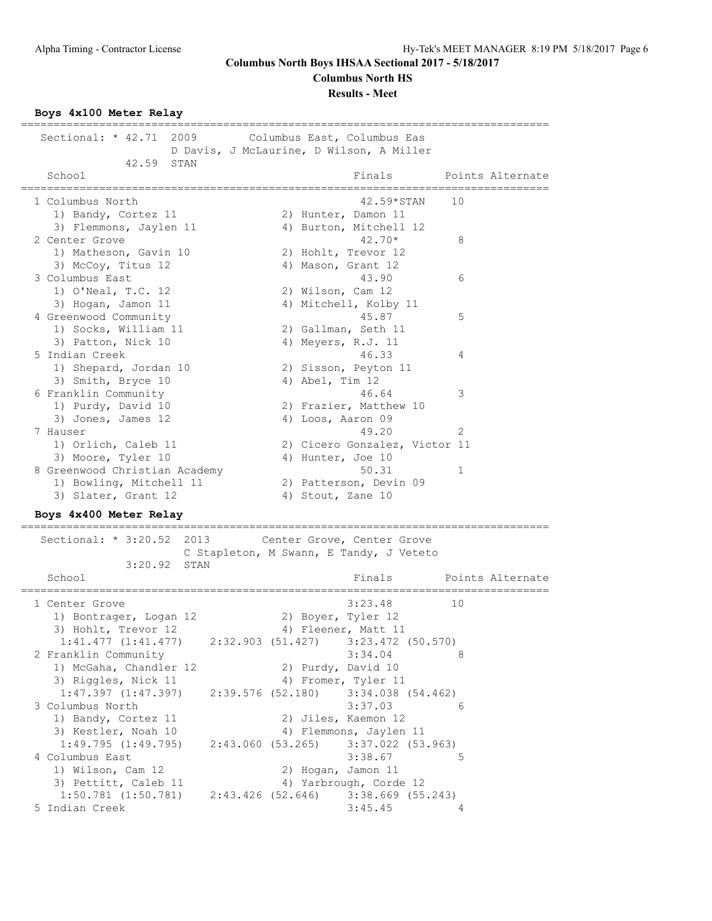**Columbus North HS**

#### **Results - Meet**

**Boys 4x100 Meter Relay**

================================================================================= Sectional: \* 42.71 2009 Columbus East, Columbus Eas D Davis, J McLaurine, D Wilson, A Miller 42.59 STAN School **Finals** Points Alternate ================================================================================= 1 Columbus North 42.59\*STAN 10 1) Bandy, Cortez 11 2) Hunter, Damon 11 3) Flemmons, Jaylen 11 4) Burton, Mitchell 12 2 Center Grove 42.70\* 8 1) Matheson, Gavin 10 2) Hohlt, Trevor 12 3) McCoy, Titus 12 4) Mason, Grant 12 3 Columbus East 43.90 6 1) O'Neal, T.C. 12 2) Wilson, Cam 12 3) Hogan, Jamon 11 4) Mitchell, Kolby 11 4 Greenwood Community 15.87 5 1) Socks, William 11 2) Gallman, Seth 11 3) Patton, Nick 10 4) Meyers, R.J. 11 5 Indian Creek 46.33 4 1) Shepard, Jordan 10 2) Sisson, Peyton 11 3) Smith, Bryce 10 4) Abel, Tim 12 6 Franklin Community 46.64 3 1) Purdy, David 10 2) Frazier, Matthew 10 3) Jones, James 12 4) Loos, Aaron 09 7 Hauser 49.20 2 1) Orlich, Caleb 11 2) Cicero Gonzalez, Victor 11 3) Moore, Tyler 10 4) Hunter, Joe 10 8 Greenwood Christian Academy 50.31 1 1) Bowling, Mitchell 11 2) Patterson, Devin 09 3) Slater, Grant 12 4) Stout, Zane 10 **Boys 4x400 Meter Relay** ================================================================================= Sectional: \* 3:20.52 2013 Center Grove, Center Grove C Stapleton, M Swann, E Tandy, J Veteto 3:20.92 STAN Finals Points Alternate ================================================================================= 1 Center Grove 1) Bontrager, Logan 12 and 20 Boyer, Tyler 12 3) Hohlt, Trevor 12 (4) Fleener, Matt 11 1:41.477 (1:41.477) 2:32.903 (51.427) 3:23.472 (50.570) 2 Franklin Community 3:34.04 8 1) McGaha, Chandler 12 2) Purdy, David 10 3) Riggles, Nick 11 (4) Fromer, Tyler 11 1:47.397 (1:47.397) 2:39.576 (52.180) 3:34.038 (54.462) 3 Columbus North 3:37.03 6 1) Bandy, Cortez 11 2) Jiles, Kaemon 12 3) Kestler, Noah 10 4) Flemmons, Jaylen 11 1:49.795 (1:49.795) 2:43.060 (53.265) 3:37.022 (53.963) 4 Columbus East 5 and 5 and 5 and 5 and 5 and 5 and 5 and 5 and 5 and 5 and 5 and 5 and 5 and 5 and 5 and 5 and 5 and 5 and 5 and 5 and 5 and 5 and 5 and 5 and 5 and 5 and 5 and 5 and 5 and 5 and 5 and 5 and 5 and 5 and 5 1) Wilson, Cam 12 2) Hogan, Jamon 11 3) Pettitt, Caleb 11 4) Yarbrough, Corde 12 1:50.781 (1:50.781) 2:43.426 (52.646) 3:38.669 (55.243) 5 Indian Creek 3:45.45 4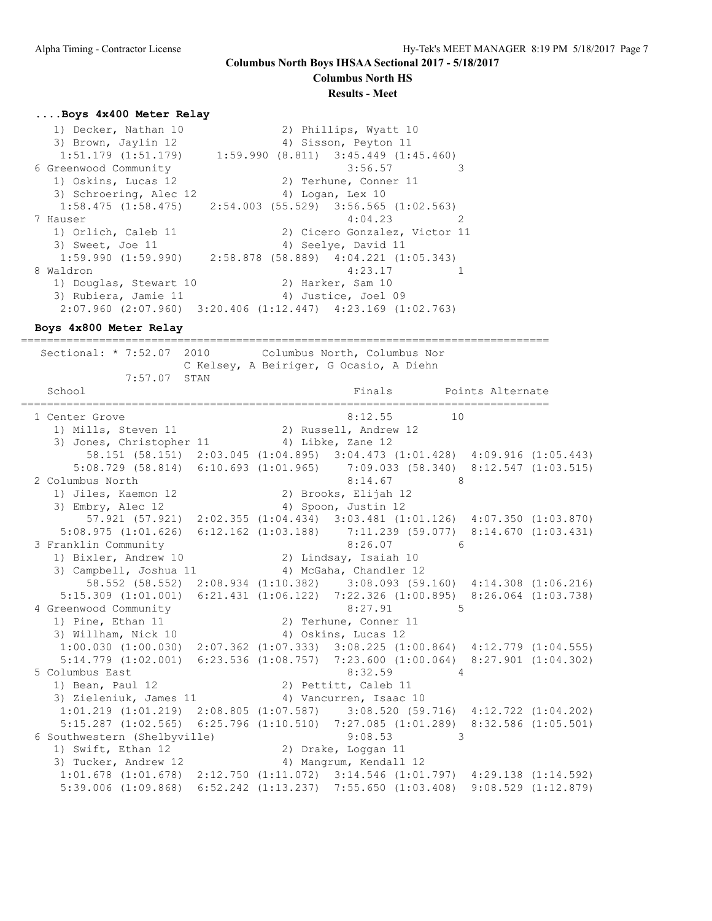**Columbus North HS**

#### **Results - Meet**

### **....Boys 4x400 Meter Relay**

 1) Decker, Nathan 10 2) Phillips, Wyatt 10 3) Brown, Jaylin 12 (4) Sisson, Peyton 11 1:51.179 (1:51.179) 1:59.990 (8.811) 3:45.449 (1:45.460) 6 Greenwood Community 3:56.57 3 1) Oskins, Lucas 12 2) Terhune, Conner 11 3) Schroering, Alec 12 (4) Logan, Lex 10 1:58.475 (1:58.475) 2:54.003 (55.529) 3:56.565 (1:02.563) 7 Hauser 4:04.23 2 1) Orlich, Caleb 11 2) Cicero Gonzalez, Victor 11 3) Sweet, Joe 11 4) Seelye, David 11 1:59.990 (1:59.990) 2:58.878 (58.889) 4:04.221 (1:05.343) 8 Waldron 4:23.17 1 1) Douglas, Stewart 10  $\hspace{1.6cm}$  2) Harker, Sam 10 3) Rubiera, Jamie 11 (4) Justice, Joel 09 2:07.960 (2:07.960) 3:20.406 (1:12.447) 4:23.169 (1:02.763)

**Boys 4x800 Meter Relay**

================================================================================= Sectional: \* 7:52.07 2010 Columbus North, Columbus Nor C Kelsey, A Beiriger, G Ocasio, A Diehn 7:57.07 STAN School **Finals** Points Alternate ================================================================================= 1 Center Grove 8:12.55 10 1) Mills, Steven 11 2) Russell, Andrew 12 3) Jones, Christopher 11 4) Libke, Zane 12 58.151 (58.151) 2:03.045 (1:04.895) 3:04.473 (1:01.428) 4:09.916 (1:05.443) 5:08.729 (58.814) 6:10.693 (1:01.965) 7:09.033 (58.340) 8:12.547 (1:03.515) 2 Columbus North 8:14.67 8 1) Jiles, Kaemon 12 2) Brooks, Elijah 12 3) Embry, Alec 12 4) Spoon, Justin 12 57.921 (57.921) 2:02.355 (1:04.434) 3:03.481 (1:01.126) 4:07.350 (1:03.870) 5:08.975 (1:01.626) 6:12.162 (1:03.188) 7:11.239 (59.077) 8:14.670 (1:03.431) 3 Franklin Community 8:26.07 6 1) Bixler, Andrew 10 2) Lindsay, Isaiah 10 3) Campbell, Joshua 11 4) McGaha, Chandler 12 58.552 (58.552) 2:08.934 (1:10.382) 3:08.093 (59.160) 4:14.308 (1:06.216) 5:15.309 (1:01.001) 6:21.431 (1:06.122) 7:22.326 (1:00.895) 8:26.064 (1:03.738) 4 Greenwood Community 6:27.91 5 1) Pine, Ethan 11 2) Terhune, Conner 11 3) Willham, Nick 10 4) Oskins, Lucas 12 1:00.030 (1:00.030) 2:07.362 (1:07.333) 3:08.225 (1:00.864) 4:12.779 (1:04.555) 5:14.779 (1:02.001) 6:23.536 (1:08.757) 7:23.600 (1:00.064) 8:27.901 (1:04.302) 5 Columbus East 8:32.59 4 1) Bean, Paul 12 2) Pettitt, Caleb 11 3) Zieleniuk, James 11 4) Vancurren, Isaac 10 1:01.219 (1:01.219) 2:08.805 (1:07.587) 3:08.520 (59.716) 4:12.722 (1:04.202) 5:15.287 (1:02.565) 6:25.796 (1:10.510) 7:27.085 (1:01.289) 8:32.586 (1:05.501) 6 Southwestern (Shelbyville) 9:08.53 3 1) Swift, Ethan 12 2) Drake, Loggan 11 3) Tucker, Andrew 12 4) Mangrum, Kendall 12 1:01.678 (1:01.678) 2:12.750 (1:11.072) 3:14.546 (1:01.797) 4:29.138 (1:14.592) 5:39.006 (1:09.868) 6:52.242 (1:13.237) 7:55.650 (1:03.408) 9:08.529 (1:12.879)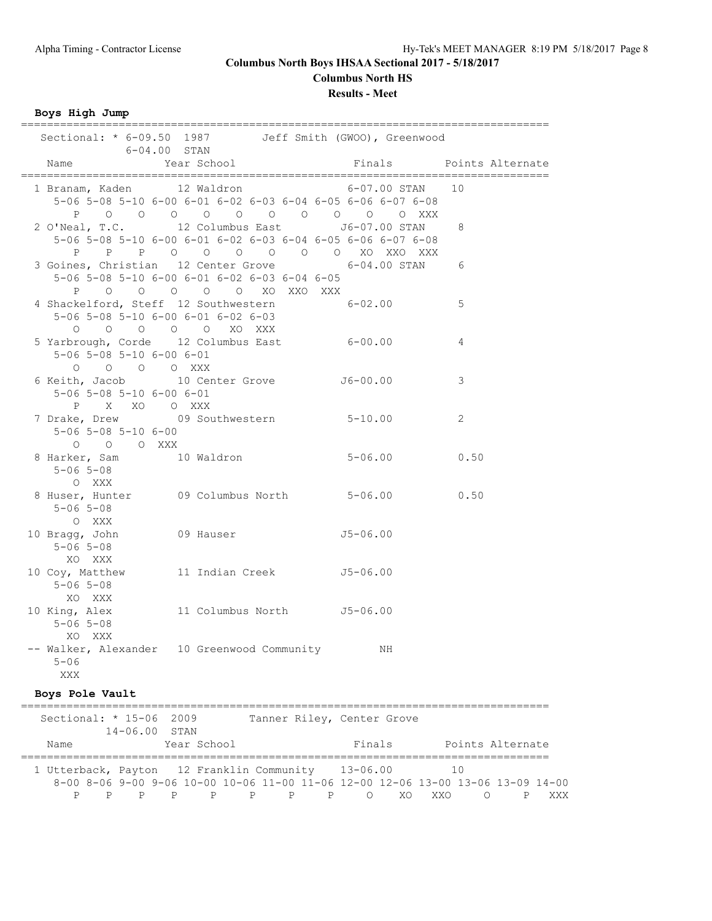**Columbus North HS**

### **Results - Meet**

**Boys High Jump**

|                                                                           |                                                                                | Sectional: * 6-09.50 1987 Jeff Smith (GWOO), Greenwood                                                                          |                         |
|---------------------------------------------------------------------------|--------------------------------------------------------------------------------|---------------------------------------------------------------------------------------------------------------------------------|-------------------------|
| Name                                                                      | $6-04.00$ STAN<br>Year School                                                  |                                                                                                                                 | Finals Points Alternate |
|                                                                           |                                                                                | 1 Branam, Kaden 12 Waldron 6-07.00 STAN 10<br>5-06 5-08 5-10 6-00 6-01 6-02 6-03 6-04 6-05 6-06 6-07 6-08<br>POOOOOOOOOOOOOOXXX |                         |
|                                                                           |                                                                                | 2 O'Neal, T.C. 12 Columbus East J6-07.00 STAN<br>5-06 5-08 5-10 6-00 6-01 6-02 6-03 6-04 6-05 6-06 6-07 6-08                    | 8                       |
|                                                                           | 5-06 5-08 5-10 6-00 6-01 6-02 6-03 6-04 6-05<br>P O O O O O XO XXO XXX         | P P P O O O O O O XO XXO XXX<br>3 Goines, Christian 12 Center Grove 6-04.00 STAN 6                                              |                         |
|                                                                           | 5-06 5-08 5-10 6-00 6-01 6-02 6-03<br>$O$ $O$ $O$ $O$ $O$ $NO$ $X\alpha$ $XXX$ | 4 Shackelford, Steff 12 Southwestern 6-02.00                                                                                    | 5                       |
| $5 - 06$ $5 - 08$ $5 - 10$ $6 - 00$ $6 - 01$<br>0 0 0 0 XXX               |                                                                                | 5 Yarbrough, Corde 12 Columbus East 6-00.00                                                                                     | 4                       |
| $5-06$ $5-08$ $5-10$ $6-00$ $6-01$<br>P X XO O XXX                        |                                                                                | 6 Keith, Jacob 10 Center Grove 56-00.00                                                                                         | 3                       |
| 7 Drake, Drew 09 Southwestern 5-10.00<br>5-06 5-08 5-10 6-00<br>O O O XXX |                                                                                |                                                                                                                                 | 2                       |
| 8 Harker, Sam 10 Waldron<br>$5 - 06$ $5 - 08$<br>O XXX                    |                                                                                | $5 - 06.00$ 0.50                                                                                                                |                         |
| $5 - 06$ 5-08<br>O XXX                                                    |                                                                                | 8 Huser, Hunter 09 Columbus North 5-06.00 0.50                                                                                  |                         |
| 10 Bragg, John 09 Hauser 55-06.00<br>$5 - 06$ $5 - 08$<br>XO XXX          |                                                                                |                                                                                                                                 |                         |
| 10 Coy, Matthew 11 Indian Creek J5-06.00<br>$5 - 06$ $5 - 08$<br>XO XXX   |                                                                                |                                                                                                                                 |                         |
| 10 King, Alex<br>$5 - 06$ $5 - 08$<br>XO XXX                              | 11 Columbus North J5-06.00                                                     |                                                                                                                                 |                         |
| -- Walker, Alexander 10 Greenwood Community<br>$5 - 06$<br>XXX            |                                                                                | ΝH                                                                                                                              |                         |
| Boys Pole Vault                                                           |                                                                                |                                                                                                                                 |                         |
| Sectional: * 15-06 2009<br>14-06.00 STAN                                  |                                                                                | Tanner Riley, Center Grove                                                                                                      |                         |
| Name                                                                      | Year School                                                                    | Finals                                                                                                                          | Points Alternate        |

P P P P P P P P O XO XXO O P XXX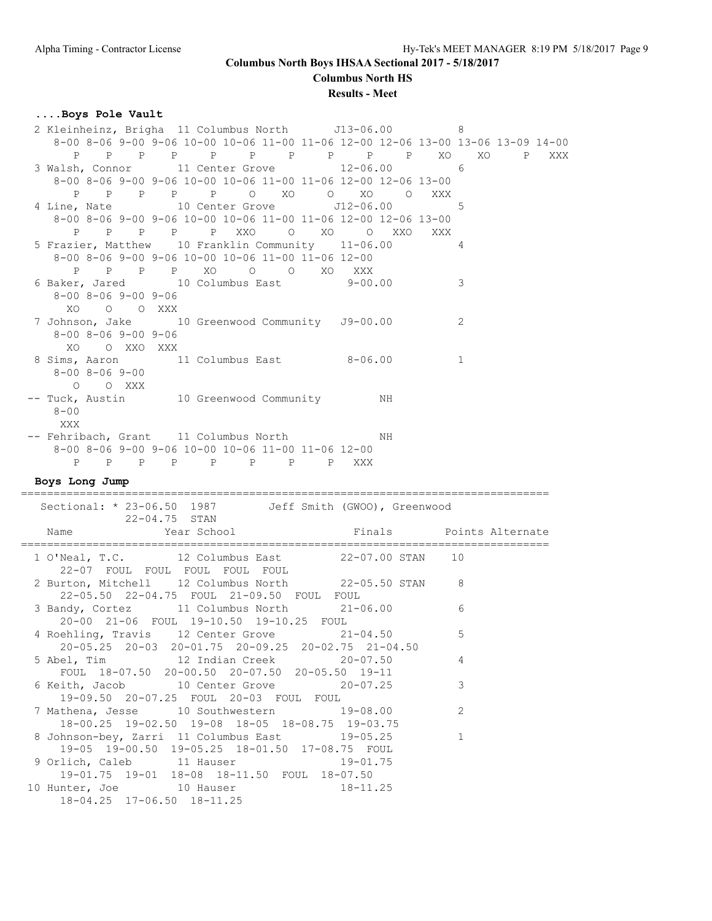**Columbus North HS**

### **Results - Meet**

## **....Boys Pole Vault**

| 2 Kleinheinz, Brigha 11 Columbus North J13-06.00                                        | 8              |          |
|-----------------------------------------------------------------------------------------|----------------|----------|
| 8-00 8-06 9-00 9-06 10-00 10-06 11-00 11-06 12-00 12-06 13-00 13-06 13-09 14-00         |                |          |
| P P P P P P P P XO<br>Ρ<br>$\mathbb{P}$                                                 | XO             | P<br>XXX |
| 3 Walsh, Connor 11 Center Grove 12-06.00                                                | -6             |          |
| 8-00 8-06 9-00 9-06 10-00 10-06 11-00 11-06 12-00 12-06 13-00                           |                |          |
| P P P P P O XO O XO<br>$\overline{O}$                                                   | XXX            |          |
|                                                                                         |                |          |
| 4 Line, Nate 10 Center Grove J12-06.00                                                  | -5             |          |
| 8-00 8-06 9-00 9-06 10-00 10-06 11-00 11-06 12-00 12-06 13-00                           |                |          |
| P P P XXO O XO O XXO<br>P<br>$\mathbb{P}$                                               | XXX            |          |
| 5 Frazier, Matthew 10 Franklin Community 11-06.00                                       | 4              |          |
| 8-00 8-06 9-00 9-06 10-00 10-06 11-00 11-06 12-00                                       |                |          |
| P P P P XO O O XO XXX                                                                   |                |          |
| 6 Baker, Jared 10 Columbus East 9-00.00                                                 |                |          |
|                                                                                         | 3              |          |
| $8 - 00$ $8 - 06$ $9 - 00$ $9 - 06$                                                     |                |          |
| XO O O XXX                                                                              |                |          |
| 7 Johnson, Jake 10 Greenwood Community J9-00.00                                         | 2              |          |
| $8 - 00$ $8 - 06$ $9 - 00$ $9 - 06$                                                     |                |          |
| XO OXXOXXX                                                                              |                |          |
| 8 Sims, Aaron 11 Columbus East 8-06.00                                                  | $\mathbf 1$    |          |
|                                                                                         |                |          |
| $8 - 00$ $8 - 06$ $9 - 00$                                                              |                |          |
| O O XXX                                                                                 |                |          |
| -- Tuck, Austin 10 Greenwood Community MH                                               |                |          |
| $8 - 00$                                                                                |                |          |
| XXX                                                                                     |                |          |
| -- Fehribach, Grant 11 Columbus North NH                                                |                |          |
| 8-00 8-06 9-00 9-06 10-00 10-06 11-00 11-06 12-00                                       |                |          |
|                                                                                         |                |          |
| P P P P P P P P XXX                                                                     |                |          |
|                                                                                         |                |          |
| Boys Long Jump                                                                          |                |          |
|                                                                                         |                |          |
| Sectional: * 23-06.50 1987 Jeff Smith (GWOO), Greenwood                                 |                |          |
| 22-04.75 STAN                                                                           |                |          |
|                                                                                         |                |          |
| Year School<br>Finals Points Alternate<br>Name                                          |                |          |
|                                                                                         |                |          |
| 1 O'Neal, T.C. 12 Columbus East 22-07.00 STAN 10                                        |                |          |
| 22-07 FOUL FOUL FOUL FOUL FOUL                                                          |                |          |
| 2 Burton, Mitchell 12 Columbus North 22-05.50 STAN 8                                    |                |          |
| 22-05.50 22-04.75 FOUL 21-09.50 FOUL FOUL                                               |                |          |
| 3 Bandy, Cortez 11 Columbus North<br>$21 - 06.00$                                       | 6              |          |
|                                                                                         |                |          |
| 20-00 21-06 FOUL 19-10.50 19-10.25 FOUL                                                 |                |          |
| 4 Roehling, Travis 12 Center Grove<br>$21 - 04.50$                                      | 5              |          |
| 20-05.25 20-03 20-01.75 20-09.25 20-02.75 21-04.50                                      |                |          |
| 5 Abel, Tim and 12 Indian Creek<br>$20 - 07.50$                                         | 4              |          |
| FOUL 18-07.50 20-00.50 20-07.50 20-05.50 19-11                                          |                |          |
| 6 Keith, Jacob 10 Center Grove<br>$20 - 07.25$                                          | 3              |          |
|                                                                                         |                |          |
| 19-09.50 20-07.25 FOUL 20-03 FOUL FOUL                                                  |                |          |
| 7 Mathena, Jesse 10 Southwestern<br>$19 - 08.00$                                        | $\overline{2}$ |          |
| 18-00.25 19-02.50 19-08 18-05 18-08.75 19-03.75                                         |                |          |
| 8 Johnson-bey, Zarri 11 Columbus East<br>$19 - 05.25$                                   | 1              |          |
| 19-05 19-00.50 19-05.25 18-01.50 17-08.75 FOUL                                          |                |          |
| 9 Orlich, Caleb 11 Hauser<br>$19 - 01.75$                                               |                |          |
|                                                                                         |                |          |
| 19-01.75 19-01 18-08 18-11.50 FOUL 18-07.50<br>10 Hunter, Joe 10 Hauser<br>$18 - 11.25$ |                |          |

18-04.25 17-06.50 18-11.25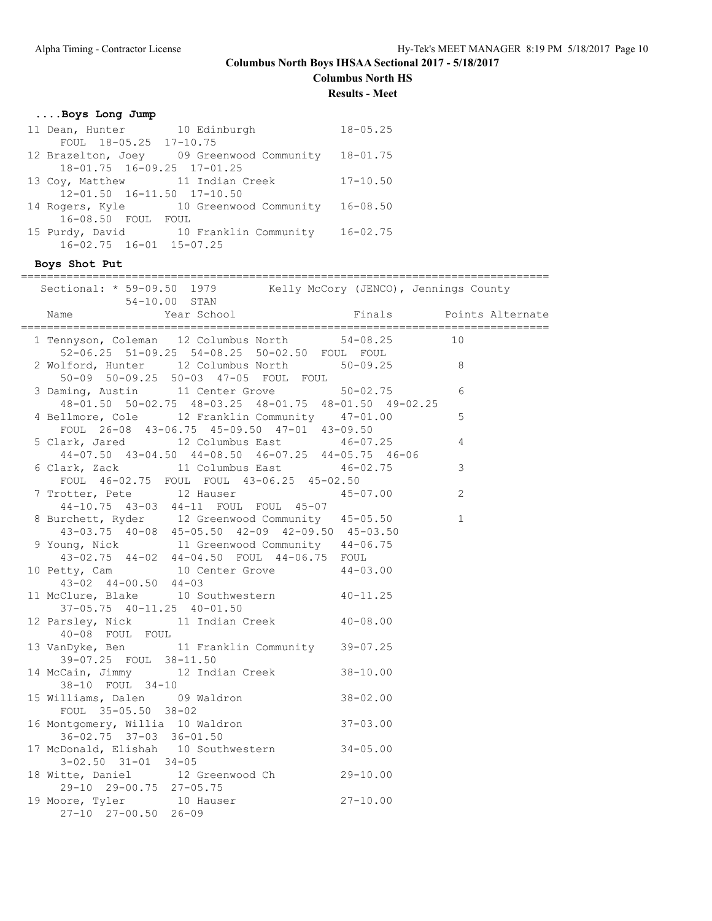# **Columbus North HS**

**Results - Meet**

## **....Boys Long Jump**

| 11 Dean, Hunter 10 Edinburgh           |                                                    | $18 - 05.25$ |
|----------------------------------------|----------------------------------------------------|--------------|
| FOUL 18-05.25 17-10.75                 |                                                    |              |
|                                        | 12 Brazelton, Joey 09 Greenwood Community 18-01.75 |              |
| $18 - 01.75$ $16 - 09.25$ $17 - 01.25$ |                                                    |              |
|                                        | 13 Coy, Matthew 11 Indian Creek                    | $17 - 10.50$ |
| $12 - 01.50$ $16 - 11.50$ $17 - 10.50$ |                                                    |              |
|                                        | 14 Rogers, Kyle 10 Greenwood Community 16-08.50    |              |
| 16-08.50 FOUL FOUL                     |                                                    |              |
|                                        | 15 Purdy, David 10 Franklin Community 16-02.75     |              |
| 16-02.75 16-01 15-07.25                |                                                    |              |
|                                        |                                                    |              |

**Boys Shot Put**

| Sectional: * 59-09.50 1979 Kelly McCory (JENCO), Jennings County<br>54-10.00 STAN                                                                         |              |                         |
|-----------------------------------------------------------------------------------------------------------------------------------------------------------|--------------|-------------------------|
| Name                                                                                                                                                      |              | Finals Points Alternate |
| 1 Tennyson, Coleman 12 Columbus North 54-08.25 10<br>52-06.25 51-09.25 54-08.25 50-02.50 FOUL FOUL                                                        |              |                         |
| 52-06.25 51-09.25 54-08.25 50-02.50 FOUL FOUL<br>2 Wolford, Hunter 12 Columbus North 50-09.25 8<br>50-09 50-09.25 50-03 47-05 FOUL FOUL                   |              |                         |
| 3 Daming, Austin 11 Center Grove 50-02.75<br>48-01.50 50-02.75 48-03.25 48-01.75 48-01.50 49-02.25                                                        |              | 6                       |
| 4 Bellmore, Cole 12 Franklin Community 47-01.00                                                                                                           | $\sim$ 5     |                         |
| FOUL 26-08 43-06.75 45-09.50 47-01 43-09.50<br>5 Clark, Jared 12 Columbus East 46-07.25<br>$44-07.50$ $43-04.50$ $44-08.50$ $46-07.25$ $44-05.75$ $46-06$ |              | $\overline{4}$          |
| 6 Clark, Zack 11 Columbus East<br>FOUL 46-02.75 FOUL FOUL 43-06.25 45-02.50                                                                               | $46 - 02.75$ | $\mathcal{S}$           |
| 7 Trotter, Pete 12 Hauser 45-07.00<br>44-10.75 43-03 44-11 FOUL FOUL 45-07                                                                                |              | 2                       |
| 8 Burchett, Ryder 12 Greenwood Community 45-05.50<br>43-03.75 40-08 45-05.50 42-09 42-09.50 45-03.50                                                      |              | $\mathbf{1}$            |
| 9 Young, Nick 11 Greenwood Community 44-06.75<br>43-02.75 44-02 44-04.50 FOUL 44-06.75 FOUL                                                               |              |                         |
| 10 Petty, Cam 10 Center Grove 44-03.00<br>$43-02$ $44-00.50$ $44-03$                                                                                      |              |                         |
| 11 McClure, Blake 10 Southwestern 40-11.25<br>37-05.75 40-11.25 40-01.50                                                                                  |              |                         |
| 12 Parsley, Nick 11 Indian Creek 40-08.00<br>40-08 FOUL FOUL                                                                                              |              |                         |
| 13 VanDyke, Ben 11 Franklin Community 39-07.25<br>39-07.25 FOUL 38-11.50                                                                                  |              |                         |
| 14 McCain, Jimmy 12 Indian Creek 38-10.00<br>38-10 FOUL 34-10                                                                                             |              |                         |
| 15 Williams, Dalen 09 Waldron 38-02.00<br>FOUL 35-05.50 38-02                                                                                             |              |                         |
| 16 Montgomery, Willia 10 Waldron 37-03.00<br>36-02.75 37-03 36-01.50                                                                                      |              |                         |
| 17 McDonald, Elishah 10 Southwestern 34-05.00<br>$3-02.50$ $31-01$ $34-05$                                                                                |              |                         |
| 18 Witte, Daniel 12 Greenwood Ch 29-10.00<br>29-10 29-00.75 27-05.75                                                                                      |              |                         |
| 19 Moore, Tyler 10 Hauser 27-10.00<br>27-10 27-00.50 26-09                                                                                                |              |                         |